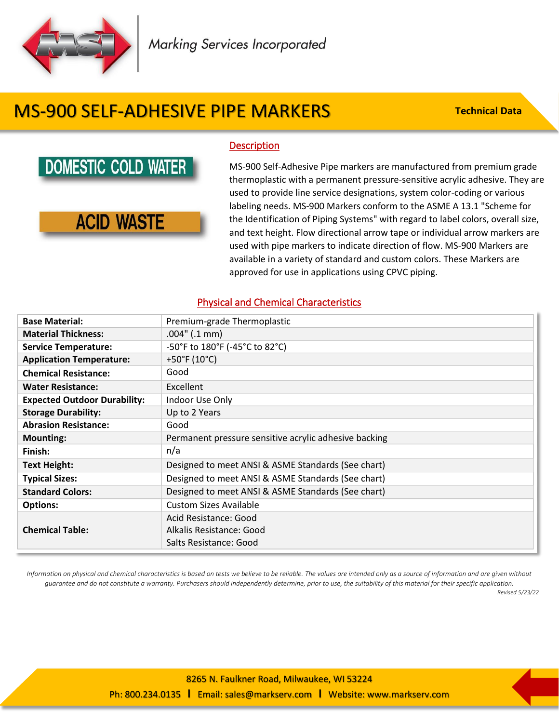

# MS-900 SELF-ADHESIVE PIPE MARKERS

**Technical Data**

### **DOMESTIC COLD WATER**

### **ACID WASTE**

#### **Description**

MS-900 Self-Adhesive Pipe markers are manufactured from premium grade thermoplastic with a permanent pressure-sensitive acrylic adhesive. They are used to provide line service designations, system color-coding or various labeling needs. MS-900 Markers conform to the ASME A 13.1 "Scheme for the Identification of Piping Systems" with regard to label colors, overall size, and text height. Flow directional arrow tape or individual arrow markers are used with pipe markers to indicate direction of flow. MS-900 Markers are available in a variety of standard and custom colors. These Markers are approved for use in applications using CPVC piping.

#### Physical and Chemical Characteristics

| <b>Base Material:</b>               | Premium-grade Thermoplastic                           |  |  |
|-------------------------------------|-------------------------------------------------------|--|--|
| <b>Material Thickness:</b>          | $.004$ " (.1 mm)                                      |  |  |
| <b>Service Temperature:</b>         | -50°F to 180°F (-45°C to 82°C)                        |  |  |
| <b>Application Temperature:</b>     | +50°F (10°C)                                          |  |  |
| <b>Chemical Resistance:</b>         | Good                                                  |  |  |
| <b>Water Resistance:</b>            | Excellent                                             |  |  |
| <b>Expected Outdoor Durability:</b> | Indoor Use Only                                       |  |  |
| <b>Storage Durability:</b>          | Up to 2 Years                                         |  |  |
| <b>Abrasion Resistance:</b>         | Good                                                  |  |  |
| <b>Mounting:</b>                    | Permanent pressure sensitive acrylic adhesive backing |  |  |
| Finish:                             | n/a                                                   |  |  |
| <b>Text Height:</b>                 | Designed to meet ANSI & ASME Standards (See chart)    |  |  |
| <b>Typical Sizes:</b>               | Designed to meet ANSI & ASME Standards (See chart)    |  |  |
| <b>Standard Colors:</b>             | Designed to meet ANSI & ASME Standards (See chart)    |  |  |
| <b>Options:</b>                     | <b>Custom Sizes Available</b>                         |  |  |
|                                     | Acid Resistance: Good                                 |  |  |
| <b>Chemical Table:</b>              | Alkalis Resistance: Good                              |  |  |
|                                     | Salts Resistance: Good                                |  |  |

*Information on physical and chemical characteristics is based on tests we believe to be reliable. The values are intended only as a source of information and are given without guarantee and do not constitute a warranty. Purchasers should independently determine, prior to use, the suitability of this material for their specific application.*

*Revised 5/23/22*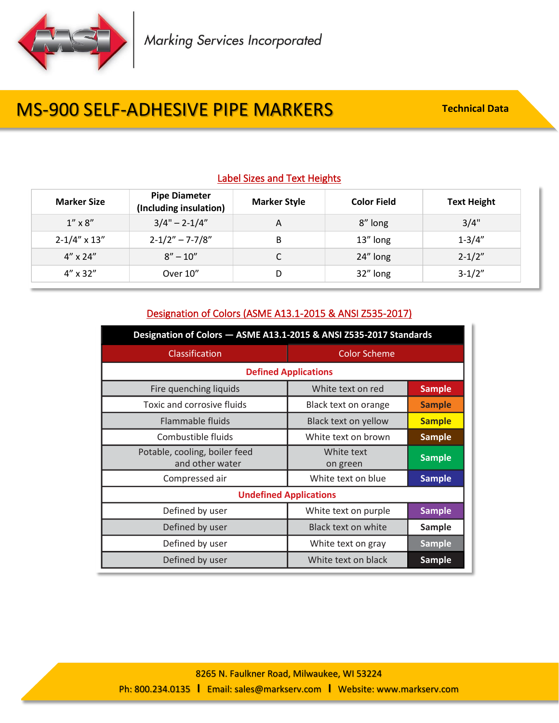

# **MS-900 SELF-ADHESIVE PIPE MARKERS** Technical Data

### Label Sizes and Text Heights

| <b>Marker Size</b>      | <b>Pipe Diameter</b><br>(Including insulation) | <b>Marker Style</b> | <b>Color Field</b> | <b>Text Height</b> |
|-------------------------|------------------------------------------------|---------------------|--------------------|--------------------|
| $1'' \times 8''$        | $3/4" - 2-1/4"$                                | A                   | 8" long            | 3/4"               |
| $2 - 1/4'' \times 13''$ | $2 - 1/2" - 7 - 7/8"$                          | B                   | 13" long           | $1 - 3/4"$         |
| $4'' \times 24''$       | $8'' - 10''$                                   |                     | 24" long           | $2 - 1/2"$         |
| $4'' \times 32''$       | Over 10"                                       | D                   | 32" long           | $3-1/2"$           |

#### Designation of Colors (ASME A13.1-2015 & ANSI Z535-2017)

| Designation of Colors - ASME A13.1-2015 & ANSI Z535-2017 Standards |                        |               |  |  |  |
|--------------------------------------------------------------------|------------------------|---------------|--|--|--|
| Classification                                                     | <b>Color Scheme</b>    |               |  |  |  |
| <b>Defined Applications</b>                                        |                        |               |  |  |  |
| Fire quenching liquids                                             | White text on red      | <b>Sample</b> |  |  |  |
| Toxic and corrosive fluids                                         | Black text on orange   | <b>Sample</b> |  |  |  |
| Flammable fluids                                                   | Black text on yellow   | <b>Sample</b> |  |  |  |
| Combustible fluids                                                 | White text on brown    | <b>Sample</b> |  |  |  |
| Potable, cooling, boiler feed<br>and other water                   | White text<br>on green | <b>Sample</b> |  |  |  |
| Compressed air                                                     | White text on blue     | <b>Sample</b> |  |  |  |
| <b>Undefined Applications</b>                                      |                        |               |  |  |  |
| Defined by user                                                    | White text on purple   | <b>Sample</b> |  |  |  |
| Defined by user                                                    | Black text on white    | <b>Sample</b> |  |  |  |
| Defined by user                                                    | White text on gray     | <b>Sample</b> |  |  |  |
| Defined by user                                                    | White text on black    | <b>Sample</b> |  |  |  |